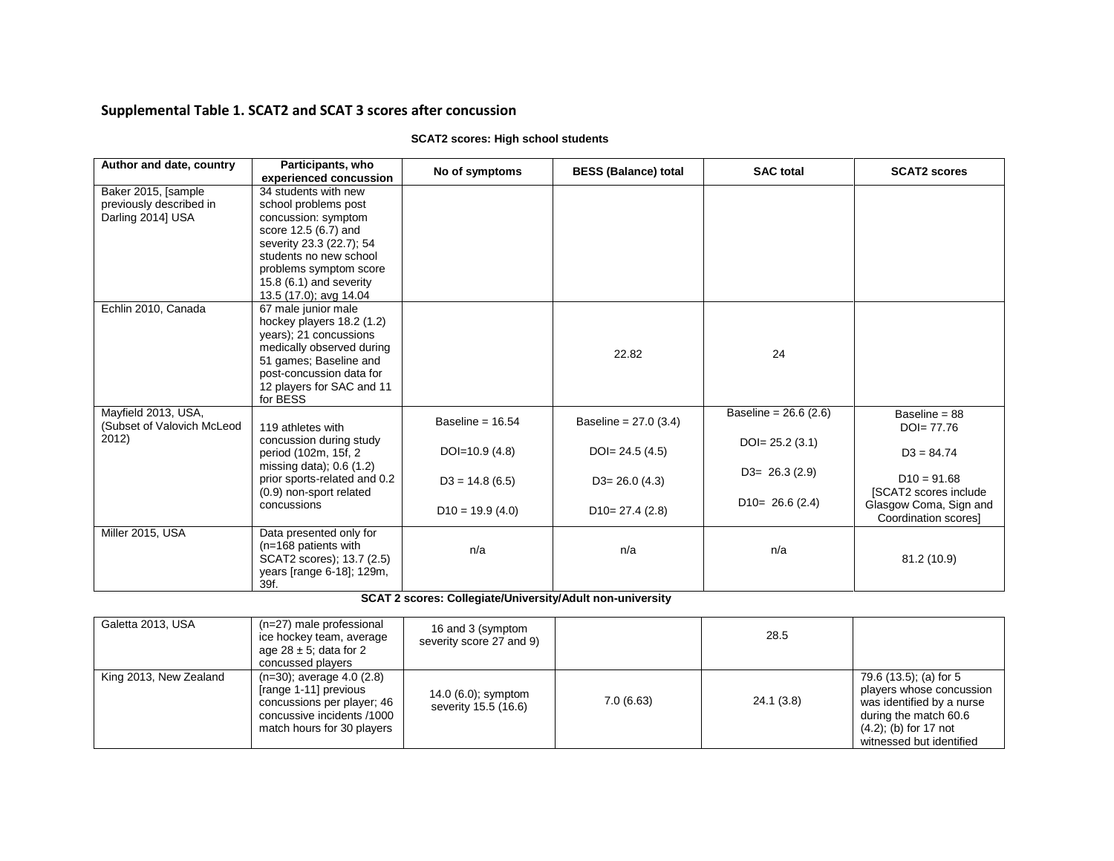## **Supplemental Table 1. SCAT2 and SCAT 3 scores after concussion**

| Author and date, country   | Participants, who            | No of symptoms     | <b>BESS (Balance) total</b> | <b>SAC</b> total        | <b>SCAT2 scores</b>    |
|----------------------------|------------------------------|--------------------|-----------------------------|-------------------------|------------------------|
|                            | experienced concussion       |                    |                             |                         |                        |
| Baker 2015, [sample        | 34 students with new         |                    |                             |                         |                        |
| previously described in    | school problems post         |                    |                             |                         |                        |
| Darling 2014] USA          | concussion: symptom          |                    |                             |                         |                        |
|                            | score 12.5 (6.7) and         |                    |                             |                         |                        |
|                            | severity 23.3 (22.7); 54     |                    |                             |                         |                        |
|                            | students no new school       |                    |                             |                         |                        |
|                            | problems symptom score       |                    |                             |                         |                        |
|                            | 15.8 $(6.1)$ and severity    |                    |                             |                         |                        |
|                            | 13.5 (17.0); avg 14.04       |                    |                             |                         |                        |
| Echlin 2010, Canada        | 67 male junior male          |                    |                             |                         |                        |
|                            | hockey players 18.2 (1.2)    |                    |                             |                         |                        |
|                            | years); 21 concussions       |                    |                             |                         |                        |
|                            | medically observed during    |                    | 22.82                       | 24                      |                        |
|                            | 51 games; Baseline and       |                    |                             |                         |                        |
|                            | post-concussion data for     |                    |                             |                         |                        |
|                            | 12 players for SAC and 11    |                    |                             |                         |                        |
|                            | for BESS                     |                    |                             |                         |                        |
| Mayfield 2013, USA,        |                              | Baseline = $16.54$ | Baseline = $27.0$ (3.4)     | Baseline = $26.6$ (2.6) | Baseline = $88$        |
| (Subset of Valovich McLeod | 119 athletes with            |                    |                             |                         | $DO = 77.76$           |
| 2012)                      | concussion during study      |                    |                             | $DO = 25.2(3.1)$        |                        |
|                            | period (102m, 15f, 2         | DOI=10.9 $(4.8)$   | $DO = 24.5(4.5)$            |                         | $D3 = 84.74$           |
|                            | missing data); $0.6(1.2)$    |                    |                             | $D3 = 26.3(2.9)$        |                        |
|                            | prior sports-related and 0.2 | $D3 = 14.8(6.5)$   | $D3 = 26.0$ (4.3)           |                         | $D10 = 91.68$          |
|                            | (0.9) non-sport related      |                    |                             |                         | [SCAT2 scores include  |
|                            | concussions                  | $D10 = 19.9(4.0)$  | $D10=27.4(2.8)$             | $D10= 26.6(2.4)$        | Glasgow Coma, Sign and |
|                            |                              |                    |                             |                         | Coordination scores]   |
| Miller 2015, USA           | Data presented only for      |                    |                             |                         |                        |
|                            | $(n=168$ patients with       | n/a                | n/a                         | n/a                     |                        |
|                            | SCAT2 scores); 13.7 (2.5)    |                    |                             |                         | 81.2 (10.9)            |
|                            | years [range 6-18]; 129m,    |                    |                             |                         |                        |
|                            | 39f.                         |                    |                             |                         |                        |

## **SCAT2 scores: High school students**

 **SCAT 2 scores: Collegiate/University/Adult non-university**

| Galetta 2013, USA      | (n=27) male professional<br>ice hockey team, average<br>age 28 $\pm$ 5; data for 2<br>concussed players                                           | 16 and 3 (symptom<br>severity score 27 and 9)  |           | 28.5       |                                                                                                                                                                  |
|------------------------|---------------------------------------------------------------------------------------------------------------------------------------------------|------------------------------------------------|-----------|------------|------------------------------------------------------------------------------------------------------------------------------------------------------------------|
| King 2013, New Zealand | $(n=30)$ ; average 4.0 $(2.8)$<br>[range 1-11] previous<br>concussions per player; 46<br>concussive incidents /1000<br>match hours for 30 players | 14.0 $(6.0)$ ; symptom<br>severity 15.5 (16.6) | 7.0(6.63) | 24.1 (3.8) | 79.6 (13.5); (a) for 5<br>players whose concussion<br>was identified by a nurse<br>during the match 60.6<br>$(4.2)$ ; (b) for 17 not<br>witnessed but identified |